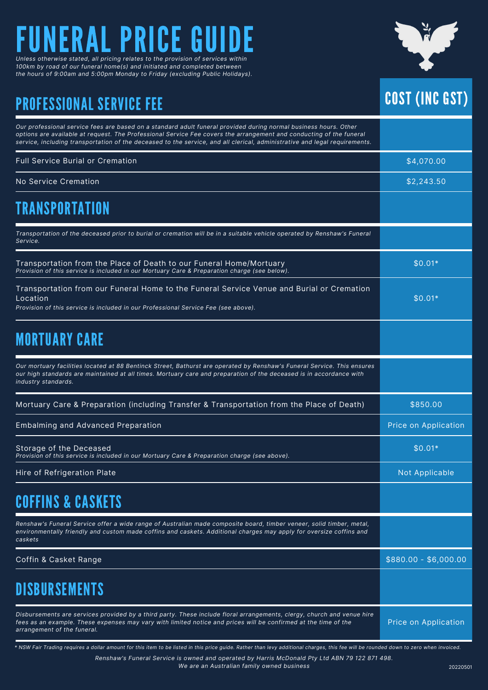### ERAL PRICE G *Unless otherwise stated, all pricing relates to the provision of services within*

*100km by road of our funeral home(s) and initiated and completed between the hours of 9:00am and 5:00pm Monday to Friday (excluding Public Holidays).*

### PROFESSIONAL SERVICE FEE



| Our professional service fees are based on a standard adult funeral provided during normal business hours. Other<br>options are available at request. The Professional Service Fee covers the arrangement and conducting of the funeral<br>service, including transportation of the deceased to the service, and all clerical, administrative and legal requirements. |                       |
|-----------------------------------------------------------------------------------------------------------------------------------------------------------------------------------------------------------------------------------------------------------------------------------------------------------------------------------------------------------------------|-----------------------|
| <b>Full Service Burial or Cremation</b>                                                                                                                                                                                                                                                                                                                               | \$4,070.00            |
| No Service Cremation                                                                                                                                                                                                                                                                                                                                                  | \$2,243.50            |
| <b>TRANSPORTATION</b>                                                                                                                                                                                                                                                                                                                                                 |                       |
| Transportation of the deceased prior to burial or cremation will be in a suitable vehicle operated by Renshaw's Funeral<br>Service.                                                                                                                                                                                                                                   |                       |
| Transportation from the Place of Death to our Funeral Home/Mortuary<br>Provision of this service is included in our Mortuary Care & Preparation charge (see below).                                                                                                                                                                                                   | $$0.01*$              |
| Transportation from our Funeral Home to the Funeral Service Venue and Burial or Cremation<br>Location<br>Provision of this service is included in our Professional Service Fee (see above).                                                                                                                                                                           | $$0.01*$              |
| <b>MORTUARY CARE</b>                                                                                                                                                                                                                                                                                                                                                  |                       |
| Our mortuary facilities located at 88 Bentinck Street, Bathurst are operated by Renshaw's Funeral Service. This ensures<br>our high standards are maintained at all times. Mortuary care and preparation of the deceased is in accordance with<br>industry standards.                                                                                                 |                       |
| Mortuary Care & Preparation (including Transfer & Transportation from the Place of Death)                                                                                                                                                                                                                                                                             | \$850.00              |
| <b>Embalming and Advanced Preparation</b>                                                                                                                                                                                                                                                                                                                             | Price on Application  |
| Storage of the Deceased<br>Provision of this service is included in our Mortuary Care & Preparation charge (see above).                                                                                                                                                                                                                                               | $$0.01*$              |
| Hire of Refrigeration Plate                                                                                                                                                                                                                                                                                                                                           | Not Applicable        |
| <b>COFFINS &amp; CASKETS</b>                                                                                                                                                                                                                                                                                                                                          |                       |
| Renshaw's Funeral Service offer a wide range of Australian made composite board, timber veneer, solid timber, metal,<br>environmentally friendly and custom made coffins and caskets. Additional charges may apply for oversize coffins and<br>caskets                                                                                                                |                       |
| Coffin & Casket Range                                                                                                                                                                                                                                                                                                                                                 | $$880.00 - $6,000.00$ |
| <b>DISBURSEMENTS</b>                                                                                                                                                                                                                                                                                                                                                  |                       |
| Disbursements are services provided by a third party. These include floral arrangements, clergy, church and venue hire<br>fees as an example. These expenses may vary with limited notice and prices will be confirmed at the time of the<br>arrangement of the funeral.                                                                                              | Price on Application  |

\* NSW Fair Trading requires a dollar amount for this item to be listed in this price guide. Rather than levy additional charges, this fee will be rounded down to zero when invoiced.

*Renshaw's Funeral Service is owned and operated by Harris McDonald Pty Ltd ABN 79 122 871 498. We are an Australian family owned business*